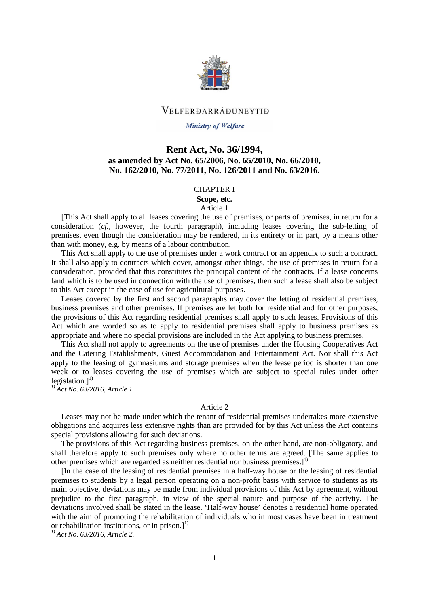

## VELFERDARRÁĐUNEYTIĐ

#### **Ministry of Welfare**

## **Rent Act, No. 36/1994, as amended by Act No. 65/2006, No. 65/2010, No. 66/2010, No. 162/2010, No. 77/2011, No. 126/2011 and No. 63/2016.**

#### CHAPTER I

## **Scope, etc.**

## Article 1

[This Act shall apply to all leases covering the use of premises, or parts of premises, in return for a consideration (*cf.,* however, the fourth paragraph), including leases covering the sub-letting of premises, even though the consideration may be rendered, in its entirety or in part, by a means other than with money, e.g. by means of a labour contribution.

This Act shall apply to the use of premises under a work contract or an appendix to such a contract. It shall also apply to contracts which cover, amongst other things, the use of premises in return for a consideration, provided that this constitutes the principal content of the contracts. If a lease concerns land which is to be used in connection with the use of premises, then such a lease shall also be subject to this Act except in the case of use for agricultural purposes.

Leases covered by the first and second paragraphs may cover the letting of residential premises, business premises and other premises. If premises are let both for residential and for other purposes, the provisions of this Act regarding residential premises shall apply to such leases. Provisions of this Act which are worded so as to apply to residential premises shall apply to business premises as appropriate and where no special provisions are included in the Act applying to business premises.

This Act shall not apply to agreements on the use of premises under the Housing Cooperatives Act and the Catering Establishments, Guest Accommodation and Entertainment Act. Nor shall this Act apply to the leasing of gymnasiums and storage premises when the lease period is shorter than one week or to leases covering the use of premises which are subject to special rules under other legislation.]<sup>1)</sup>

*1) Act No. 63/2016, Article 1.* 

#### Article 2

Leases may not be made under which the tenant of residential premises undertakes more extensive obligations and acquires less extensive rights than are provided for by this Act unless the Act contains special provisions allowing for such deviations.

The provisions of this Act regarding business premises, on the other hand, are non-obligatory, and shall therefore apply to such premises only where no other terms are agreed. [The same applies to other premises which are regarded as neither residential nor business premises.]<sup>1)</sup>

[In the case of the leasing of residential premises in a half-way house or the leasing of residential premises to students by a legal person operating on a non-profit basis with service to students as its main objective, deviations may be made from individual provisions of this Act by agreement, without prejudice to the first paragraph, in view of the special nature and purpose of the activity. The deviations involved shall be stated in the lease. 'Half-way house' denotes a residential home operated with the aim of promoting the rehabilitation of individuals who in most cases have been in treatment or rehabilitation institutions, or in prison.]<sup>1)</sup>

*1) Act No. 63/2016, Article 2.*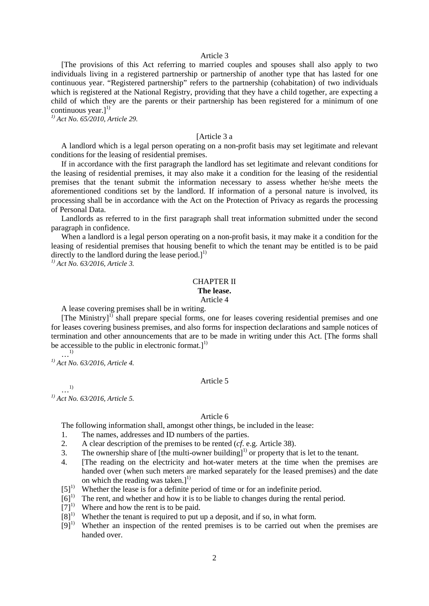#### Article 3

[The provisions of this Act referring to married couples and spouses shall also apply to two individuals living in a registered partnership or partnership of another type that has lasted for one continuous year. "Registered partnership" refers to the partnership (cohabitation) of two individuals which is registered at the National Registry, providing that they have a child together, are expecting a child of which they are the parents or their partnership has been registered for a minimum of one continuous year.]<sup>1)</sup>

*1) Act No. 65/2010, Article 29.*

#### [Article 3 a

A landlord which is a legal person operating on a non-profit basis may set legitimate and relevant conditions for the leasing of residential premises.

If in accordance with the first paragraph the landlord has set legitimate and relevant conditions for the leasing of residential premises, it may also make it a condition for the leasing of the residential premises that the tenant submit the information necessary to assess whether he/she meets the aforementioned conditions set by the landlord. If information of a personal nature is involved, its processing shall be in accordance with the Act on the Protection of Privacy as regards the processing of Personal Data.

Landlords as referred to in the first paragraph shall treat information submitted under the second paragraph in confidence.

When a landlord is a legal person operating on a non-profit basis, it may make it a condition for the leasing of residential premises that housing benefit to which the tenant may be entitled is to be paid directly to the landlord during the lease period.] $<sup>1</sup>$ </sup>

*1) Act No. 63/2016, Article 3.*

## CHAPTER II

## **The lease.**

Article 4

A lease covering premises shall be in writing.

[The Ministry]<sup>1)</sup> shall prepare special forms, one for leases covering residential premises and one for leases covering business premises, and also forms for inspection declarations and sample notices of termination and other announcements that are to be made in writing under this Act. [The forms shall be accessible to the public in electronic format.] $<sup>1</sup>$ </sup>

…1)

*1) Act No. 63/2016, Article 4.*

#### Article 5

…1) *1) Act No. 63/2016, Article 5.*

#### Article 6

The following information shall, amongst other things, be included in the lease:

- 1. The names, addresses and ID numbers of the parties.
- 2. A clear description of the premises to be rented (*cf*. e.g. Article 38).
- 3. The ownership share of [the multi-owner building]<sup>1)</sup> or property that is let to the tenant.
- 4. [The reading on the electricity and hot-water meters at the time when the premises are handed over (when such meters are marked separately for the leased premises) and the date on which the reading was taken.] $^{1)}$
- [5]<sup>1)</sup> Whether the lease is for a definite period of time or for an indefinite period.
- $[6]$ <sup>1)</sup> The rent, and whether and how it is to be liable to changes during the rental period.
- 
- [7]<sup>1)</sup> Where and how the rent is to be paid.<br>[8]<sup>1</sup> Whether the tenant is required to put Whether the tenant is required to put up a deposit, and if so, in what form.
- $[9]$ <sup>1)</sup> Whether an inspection of the rented premises is to be carried out when the premises are handed over.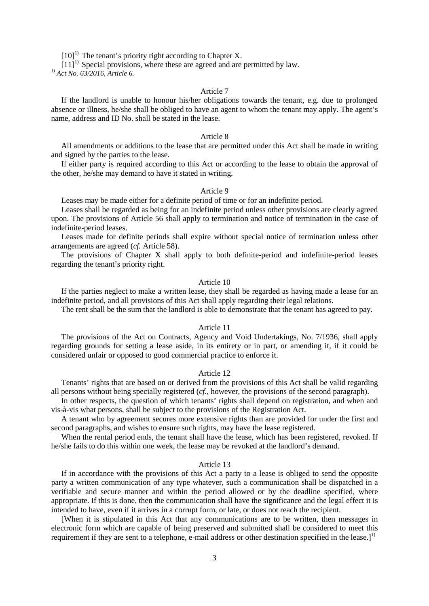$[10]$ <sup>1)</sup> The tenant's priority right according to Chapter X.

 $[11]$ <sup>1)</sup> Special provisions, where these are agreed and are permitted by law.

*1) Act No. 63/2016, Article 6.*

#### Article 7

If the landlord is unable to honour his/her obligations towards the tenant, e.g. due to prolonged absence or illness, he/she shall be obliged to have an agent to whom the tenant may apply. The agent's name, address and ID No. shall be stated in the lease.

#### Article 8

All amendments or additions to the lease that are permitted under this Act shall be made in writing and signed by the parties to the lease.

If either party is required according to this Act or according to the lease to obtain the approval of the other, he/she may demand to have it stated in writing.

#### Article 9

Leases may be made either for a definite period of time or for an indefinite period.

Leases shall be regarded as being for an indefinite period unless other provisions are clearly agreed upon. The provisions of Article 56 shall apply to termination and notice of termination in the case of indefinite-period leases.

Leases made for definite periods shall expire without special notice of termination unless other arrangements are agreed (*cf.* Article 58).

The provisions of Chapter X shall apply to both definite-period and indefinite-period leases regarding the tenant's priority right.

## Article 10

If the parties neglect to make a written lease, they shall be regarded as having made a lease for an indefinite period, and all provisions of this Act shall apply regarding their legal relations.

The rent shall be the sum that the landlord is able to demonstrate that the tenant has agreed to pay.

### Article 11

The provisions of the Act on Contracts, Agency and Void Undertakings, No. 7/1936, shall apply regarding grounds for setting a lease aside, in its entirety or in part, or amending it, if it could be considered unfair or opposed to good commercial practice to enforce it.

#### Article 12

Tenants' rights that are based on or derived from the provisions of this Act shall be valid regarding all persons without being specially registered (*cf.*, however, the provisions of the second paragraph).

In other respects, the question of which tenants' rights shall depend on registration, and when and vis-à-vis what persons, shall be subject to the provisions of the Registration Act.

A tenant who by agreement secures more extensive rights than are provided for under the first and second paragraphs, and wishes to ensure such rights, may have the lease registered.

When the rental period ends, the tenant shall have the lease, which has been registered, revoked. If he/she fails to do this within one week, the lease may be revoked at the landlord's demand.

#### Article 13

If in accordance with the provisions of this Act a party to a lease is obliged to send the opposite party a written communication of any type whatever, such a communication shall be dispatched in a verifiable and secure manner and within the period allowed or by the deadline specified, where appropriate. If this is done, then the communication shall have the significance and the legal effect it is intended to have, even if it arrives in a corrupt form, or late, or does not reach the recipient.

[When it is stipulated in this Act that any communications are to be written, then messages in electronic form which are capable of being preserved and submitted shall be considered to meet this requirement if they are sent to a telephone, e-mail address or other destination specified in the lease.]<sup>1)</sup>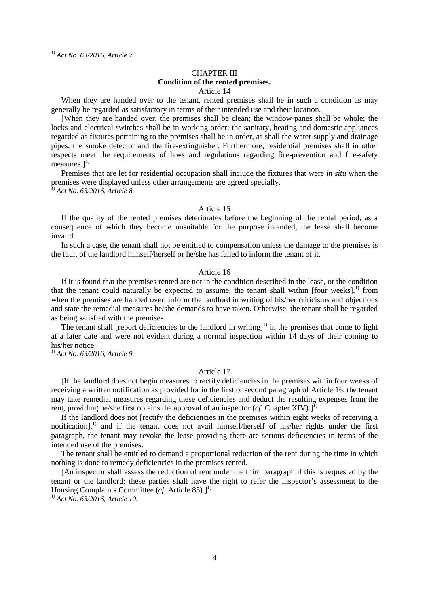*1) Act No. 63/2016, Article 7.*

#### CHAPTER III **Condition of the rented premises.** Article 14

When they are handed over to the tenant, rented premises shall be in such a condition as may generally be regarded as satisfactory in terms of their intended use and their location.

[When they are handed over, the premises shall be clean; the window-panes shall be whole; the locks and electrical switches shall be in working order; the sanitary, heating and domestic appliances regarded as fixtures pertaining to the premises shall be in order, as shall the water-supply and drainage pipes, the smoke detector and the fire-extinguisher. Furthermore, residential premises shall in other respects meet the requirements of laws and regulations regarding fire-prevention and fire-safety measures.]<sup>1)</sup>

Premises that are let for residential occupation shall include the fixtures that were *in situ* when the premises were displayed unless other arrangements are agreed specially. *1) Act No. 63/2016, Article 8.*

#### Article 15

If the quality of the rented premises deteriorates before the beginning of the rental period, as a consequence of which they become unsuitable for the purpose intended, the lease shall become invalid.

In such a case, the tenant shall not be entitled to compensation unless the damage to the premises is the fault of the landlord himself/herself or he/she has failed to inform the tenant of it.

#### Article 16

If it is found that the premises rented are not in the condition described in the lease, or the condition that the tenant could naturally be expected to assume, the tenant shall within [four weeks], $^{1)}$  from when the premises are handed over, inform the landlord in writing of his/her criticisms and objections and state the remedial measures he/she demands to have taken. Otherwise, the tenant shall be regarded as being satisfied with the premises.

The tenant shall [report deficiencies to the landlord in writing] $<sup>1</sup>$  in the premises that come to light</sup> at a later date and were not evident during a normal inspection within 14 days of their coming to his/her notice.

*1) Act No. 63/2016, Article 9.*

#### Article 17

[If the landlord does not begin measures to rectify deficiencies in the premises within four weeks of receiving a written notification as provided for in the first or second paragraph of Article 16, the tenant may take remedial measures regarding these deficiencies and deduct the resulting expenses from the rent, providing he/she first obtains the approval of an inspector (*cf.* Chapter XIV).]<sup>1)</sup>

If the landlord does not [rectify the deficiencies in the premises within eight weeks of receiving a notification], 1) and if the tenant does not avail himself/herself of his/her rights under the first paragraph, the tenant may revoke the lease providing there are serious deficiencies in terms of the intended use of the premises.

The tenant shall be entitled to demand a proportional reduction of the rent during the time in which nothing is done to remedy deficiencies in the premises rented.

[An inspector shall assess the reduction of rent under the third paragraph if this is requested by the tenant or the landlord; these parties shall have the right to refer the inspector's assessment to the Housing Complaints Committee (cf. Article 85).]<sup>1)</sup>

*1) Act No. 63/2016, Article 10.*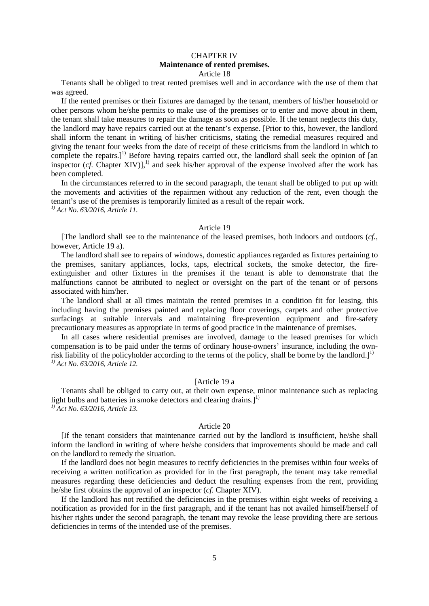## CHAPTER IV **Maintenance of rented premises.**

#### Article 18

Tenants shall be obliged to treat rented premises well and in accordance with the use of them that was agreed.

If the rented premises or their fixtures are damaged by the tenant, members of his/her household or other persons whom he/she permits to make use of the premises or to enter and move about in them, the tenant shall take measures to repair the damage as soon as possible. If the tenant neglects this duty, the landlord may have repairs carried out at the tenant's expense. [Prior to this, however, the landlord shall inform the tenant in writing of his/her criticisms, stating the remedial measures required and giving the tenant four weeks from the date of receipt of these criticisms from the landlord in which to complete the repairs.]<sup>1)</sup> Before having repairs carried out, the landlord shall seek the opinion of [an inspector (*cf.* Chapter XIV)], 1) and seek his/her approval of the expense involved after the work has been completed.

In the circumstances referred to in the second paragraph, the tenant shall be obliged to put up with the movements and activities of the repairmen without any reduction of the rent, even though the tenant's use of the premises is temporarily limited as a result of the repair work. *1) Act No. 63/2016, Article 11.*

Article 19

[The landlord shall see to the maintenance of the leased premises, both indoors and outdoors (*cf.*, however, Article 19 a).

The landlord shall see to repairs of windows, domestic appliances regarded as fixtures pertaining to the premises, sanitary appliances, locks, taps, electrical sockets, the smoke detector, the fireextinguisher and other fixtures in the premises if the tenant is able to demonstrate that the malfunctions cannot be attributed to neglect or oversight on the part of the tenant or of persons associated with him/her.

The landlord shall at all times maintain the rented premises in a condition fit for leasing, this including having the premises painted and replacing floor coverings, carpets and other protective surfacings at suitable intervals and maintaining fire-prevention equipment and fire-safety precautionary measures as appropriate in terms of good practice in the maintenance of premises.

In all cases where residential premises are involved, damage to the leased premises for which compensation is to be paid under the terms of ordinary house-owners' insurance, including the ownrisk liability of the policyholder according to the terms of the policy, shall be borne by the landlord.]<sup>1)</sup> *1) Act No. 63/2016, Article 12.*

### [Article 19 a

Tenants shall be obliged to carry out, at their own expense, minor maintenance such as replacing light bulbs and batteries in smoke detectors and clearing drains.]<sup>1)</sup> *1) Act No. 63/2016, Article 13.*

#### Article 20

[If the tenant considers that maintenance carried out by the landlord is insufficient, he/she shall inform the landlord in writing of where he/she considers that improvements should be made and call on the landlord to remedy the situation.

If the landlord does not begin measures to rectify deficiencies in the premises within four weeks of receiving a written notification as provided for in the first paragraph, the tenant may take remedial measures regarding these deficiencies and deduct the resulting expenses from the rent, providing he/she first obtains the approval of an inspector (*cf.* Chapter XIV).

If the landlord has not rectified the deficiencies in the premises within eight weeks of receiving a notification as provided for in the first paragraph, and if the tenant has not availed himself/herself of his/her rights under the second paragraph, the tenant may revoke the lease providing there are serious deficiencies in terms of the intended use of the premises.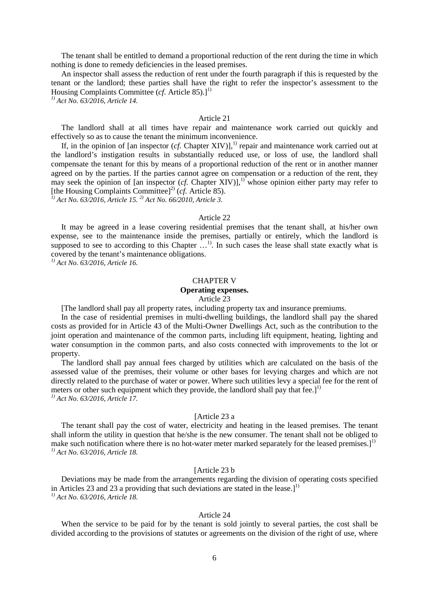The tenant shall be entitled to demand a proportional reduction of the rent during the time in which nothing is done to remedy deficiencies in the leased premises.

An inspector shall assess the reduction of rent under the fourth paragraph if this is requested by the tenant or the landlord; these parties shall have the right to refer the inspector's assessment to the Housing Complaints Committee  $(cf.$  Article  $85).1^{1}$ 

*1) Act No. 63/2016, Article 14.*

#### Article 21

The landlord shall at all times have repair and maintenance work carried out quickly and effectively so as to cause the tenant the minimum inconvenience.

If, in the opinion of [an inspector  $(cf.$  Chapter XIV)], $^{1}$  repair and maintenance work carried out at the landlord's instigation results in substantially reduced use, or loss of use, the landlord shall compensate the tenant for this by means of a proportional reduction of the rent or in another manner agreed on by the parties. If the parties cannot agree on compensation or a reduction of the rent, they may seek the opinion of [an inspector (*cf.* Chapter XIV)],<sup>1)</sup> whose opinion either party may refer to [the Housing Complaints Committee] 2) (*cf.* Article 85). *1) Act No. 63/2016, Article 15. 2) Act No. 66/2010, Article 3.*

#### Article 22

It may be agreed in a lease covering residential premises that the tenant shall, at his/her own expense, see to the maintenance inside the premises, partially or entirely, which the landlord is supposed to see to according to this Chapter ...<sup>1</sup>. In such cases the lease shall state exactly what is covered by the tenant's maintenance obligations.

*1) Act No. 63/2016, Article 16.*

#### CHAPTER V

## **Operating expenses.**

Article 23

[The landlord shall pay all property rates, including property tax and insurance premiums.

In the case of residential premises in multi-dwelling buildings, the landlord shall pay the shared costs as provided for in Article 43 of the Multi-Owner Dwellings Act, such as the contribution to the joint operation and maintenance of the common parts, including lift equipment, heating, lighting and water consumption in the common parts, and also costs connected with improvements to the lot or property.

The landlord shall pay annual fees charged by utilities which are calculated on the basis of the assessed value of the premises, their volume or other bases for levying charges and which are not directly related to the purchase of water or power. Where such utilities levy a special fee for the rent of meters or other such equipment which they provide, the landlord shall pay that fee.<sup>[1]</sup> *1) Act No. 63/2016, Article 17.*

#### [Article 23 a

The tenant shall pay the cost of water, electricity and heating in the leased premises. The tenant shall inform the utility in question that he/she is the new consumer. The tenant shall not be obliged to make such notification where there is no hot-water meter marked separately for the leased premises.]<sup>1)</sup> *1) Act No. 63/2016, Article 18.*

### [Article 23 b]

Deviations may be made from the arrangements regarding the division of operating costs specified in Articles 23 and 23 a providing that such deviations are stated in the lease.] $<sup>1</sup>$ </sup> *1) Act No. 63/2016, Article 18.*

#### Article 24

When the service to be paid for by the tenant is sold jointly to several parties, the cost shall be divided according to the provisions of statutes or agreements on the division of the right of use, where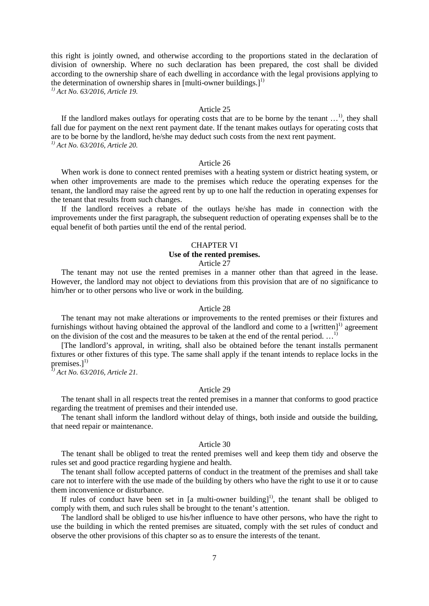this right is jointly owned, and otherwise according to the proportions stated in the declaration of division of ownership. Where no such declaration has been prepared, the cost shall be divided according to the ownership share of each dwelling in accordance with the legal provisions applying to the determination of ownership shares in [multi-owner buildings.]<sup>1)</sup>

*1) Act No. 63/2016, Article 19.*

#### Article 25

If the landlord makes outlays for operating costs that are to be borne by the tenant  $\dots$ <sup>1</sup>, they shall fall due for payment on the next rent payment date. If the tenant makes outlays for operating costs that are to be borne by the landlord, he/she may deduct such costs from the next rent payment. *1) Act No. 63/2016, Article 20.*

#### Article 26

When work is done to connect rented premises with a heating system or district heating system, or when other improvements are made to the premises which reduce the operating expenses for the tenant, the landlord may raise the agreed rent by up to one half the reduction in operating expenses for the tenant that results from such changes.

If the landlord receives a rebate of the outlays he/she has made in connection with the improvements under the first paragraph, the subsequent reduction of operating expenses shall be to the equal benefit of both parties until the end of the rental period.

#### CHAPTER VI

#### **Use of the rented premises.**

#### Article 27

The tenant may not use the rented premises in a manner other than that agreed in the lease. However, the landlord may not object to deviations from this provision that are of no significance to him/her or to other persons who live or work in the building.

#### Article 28

The tenant may not make alterations or improvements to the rented premises or their fixtures and furnishings without having obtained the approval of the landlord and come to a [written]<sup>1)</sup> agreement on the division of the cost and the measures to be taken at the end of the rental period.  $\ldots$ <sup>1</sup>

[The landlord's approval, in writing, shall also be obtained before the tenant installs permanent fixtures or other fixtures of this type. The same shall apply if the tenant intends to replace locks in the premises.]<sup>1)</sup>

*1) Act No. 63/2016, Article 21.*

#### Article 29

The tenant shall in all respects treat the rented premises in a manner that conforms to good practice regarding the treatment of premises and their intended use.

The tenant shall inform the landlord without delay of things, both inside and outside the building, that need repair or maintenance.

#### Article 30

The tenant shall be obliged to treat the rented premises well and keep them tidy and observe the rules set and good practice regarding hygiene and health.

The tenant shall follow accepted patterns of conduct in the treatment of the premises and shall take care not to interfere with the use made of the building by others who have the right to use it or to cause them inconvenience or disturbance.

If rules of conduct have been set in [a multi-owner building]<sup>1)</sup>, the tenant shall be obliged to comply with them, and such rules shall be brought to the tenant's attention.

The landlord shall be obliged to use his/her influence to have other persons, who have the right to use the building in which the rented premises are situated, comply with the set rules of conduct and observe the other provisions of this chapter so as to ensure the interests of the tenant.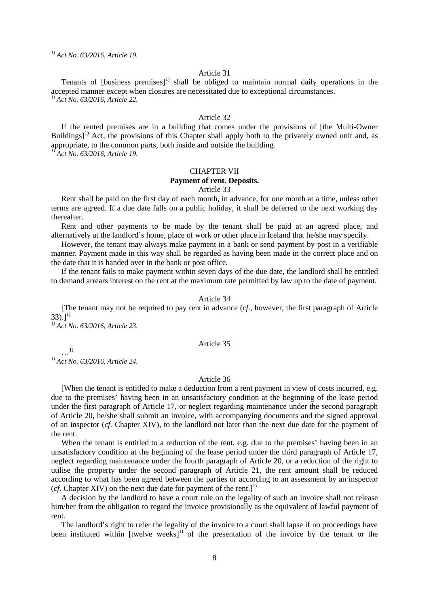*1) Act No. 63/2016, Article 19.*

#### Article 31

Tenants of [business premises] $<sup>1</sup>$  shall be obliged to maintain normal daily operations in the</sup> accepted manner except when closures are necessitated due to exceptional circumstances. *1) Act No. 63/2016, Article 22.*

#### Article 32

If the rented premises are in a building that comes under the provisions of [the Multi-Owner Buildings]<sup>1)</sup> Act, the provisions of this Chapter shall apply both to the privately owned unit and, as appropriate, to the common parts, both inside and outside the building. *1) Act No. 63/2016, Article 19.*

#### CHAPTER VII **Payment of rent. Deposits.**

#### Article 33

Rent shall be paid on the first day of each month, in advance, for one month at a time, unless other terms are agreed. If a due date falls on a public holiday, it shall be deferred to the next working day thereafter.

Rent and other payments to be made by the tenant shall be paid at an agreed place, and alternatively at the landlord's home, place of work or other place in Iceland that he/she may specify.

However, the tenant may always make payment in a bank or send payment by post in a verifiable manner. Payment made in this way shall be regarded as having been made in the correct place and on the date that it is handed over in the bank or post office.

If the tenant fails to make payment within seven days of the due date, the landlord shall be entitled to demand arrears interest on the rent at the maximum rate permitted by law up to the date of payment.

#### Article 34

[The tenant may not be required to pay rent in advance (*cf.,* however, the first paragraph of Article  $(33).$ ]<sup>1)</sup>

*1) Act No. 63/2016, Article 23.*

#### Article 35

…1) *1) Act No. 63/2016, Article 24.*

#### Article 36

[When the tenant is entitled to make a deduction from a rent payment in view of costs incurred, e.g. due to the premises' having been in an unsatisfactory condition at the beginning of the lease period under the first paragraph of Article 17, or neglect regarding maintenance under the second paragraph of Article 20, he/she shall submit an invoice, with accompanying documents and the signed approval of an inspector (*cf.* Chapter XIV), to the landlord not later than the next due date for the payment of the rent.

When the tenant is entitled to a reduction of the rent, e.g. due to the premises' having been in an unsatisfactory condition at the beginning of the lease period under the third paragraph of Article 17, neglect regarding maintenance under the fourth paragraph of Article 20, or a reduction of the right to utilise the property under the second paragraph of Article 21, the rent amount shall be reduced according to what has been agreed between the parties or according to an assessment by an inspector ( $cf.$  Chapter XIV) on the next due date for payment of the rent.]<sup>1)</sup>

A decision by the landlord to have a court rule on the legality of such an invoice shall not release him/her from the obligation to regard the invoice provisionally as the equivalent of lawful payment of rent.

The landlord's right to refer the legality of the invoice to a court shall lapse if no proceedings have been instituted within  $[twelve|$  weeks $]$ <sup>1)</sup> of the presentation of the invoice by the tenant or the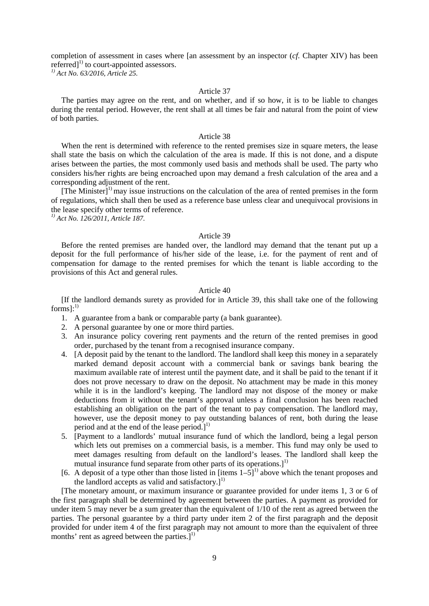completion of assessment in cases where [an assessment by an inspector (*cf.* Chapter XIV) has been referred]<sup>1)</sup> to court-appointed assessors. *1) Act No. 63/2016, Article 25.*

Article 37

The parties may agree on the rent, and on whether, and if so how, it is to be liable to changes during the rental period. However, the rent shall at all times be fair and natural from the point of view of both parties.

#### Article 38

When the rent is determined with reference to the rented premises size in square meters, the lease shall state the basis on which the calculation of the area is made. If this is not done, and a dispute arises between the parties, the most commonly used basis and methods shall be used. The party who considers his/her rights are being encroached upon may demand a fresh calculation of the area and a corresponding adjustment of the rent.

[The Minister]<sup>1)</sup> may issue instructions on the calculation of the area of rented premises in the form of regulations, which shall then be used as a reference base unless clear and unequivocal provisions in the lease specify other terms of reference.

*1) Act No. 126/2011, Article 187.*

#### Article 39

Before the rented premises are handed over, the landlord may demand that the tenant put up a deposit for the full performance of his/her side of the lease, i.e. for the payment of rent and of compensation for damage to the rented premises for which the tenant is liable according to the provisions of this Act and general rules.

#### Article 40

[If the landlord demands surety as provided for in Article 39, this shall take one of the following forms]: $^{1)}$ 

- 1. A guarantee from a bank or comparable party (a bank guarantee).
- 2. A personal guarantee by one or more third parties.
- 3. An insurance policy covering rent payments and the return of the rented premises in good order, purchased by the tenant from a recognised insurance company.
- 4. [A deposit paid by the tenant to the landlord. The landlord shall keep this money in a separately marked demand deposit account with a commercial bank or savings bank bearing the maximum available rate of interest until the payment date, and it shall be paid to the tenant if it does not prove necessary to draw on the deposit. No attachment may be made in this money while it is in the landlord's keeping. The landlord may not dispose of the money or make deductions from it without the tenant's approval unless a final conclusion has been reached establishing an obligation on the part of the tenant to pay compensation. The landlord may, however, use the deposit money to pay outstanding balances of rent, both during the lease period and at the end of the lease period.] $^{1)}$
- 5. [Payment to a landlords' mutual insurance fund of which the landlord, being a legal person which lets out premises on a commercial basis, is a member. This fund may only be used to meet damages resulting from default on the landlord's leases. The landlord shall keep the mutual insurance fund separate from other parts of its operations.]<sup>1)</sup>
- [6. A deposit of a type other than those listed in [items  $1-5$ ]<sup>1)</sup> above which the tenant proposes and the landlord accepts as valid and satisfactory.]<sup>1)</sup>

[The monetary amount, or maximum insurance or guarantee provided for under items 1, 3 or 6 of the first paragraph shall be determined by agreement between the parties. A payment as provided for under item 5 may never be a sum greater than the equivalent of 1/10 of the rent as agreed between the parties. The personal guarantee by a third party under item 2 of the first paragraph and the deposit provided for under item 4 of the first paragraph may not amount to more than the equivalent of three months' rent as agreed between the parties. $]^{1}$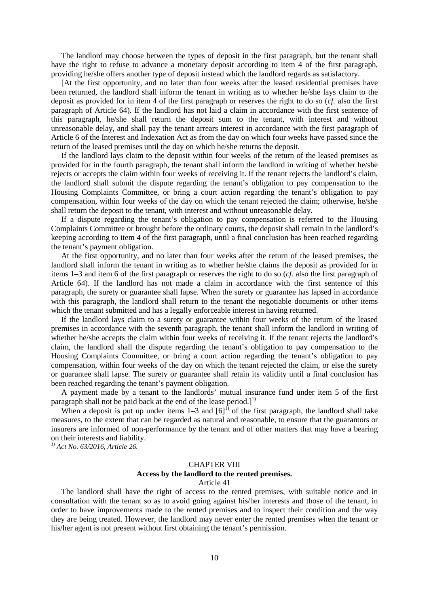The landlord may choose between the types of deposit in the first paragraph, but the tenant shall have the right to refuse to advance a monetary deposit according to item 4 of the first paragraph, providing he/she offers another type of deposit instead which the landlord regards as satisfactory.

[At the first opportunity, and no later than four weeks after the leased residential premises have been returned, the landlord shall inform the tenant in writing as to whether he/she lays claim to the deposit as provided for in item 4 of the first paragraph or reserves the right to do so (*cf.* also the first paragraph of Article 64). If the landlord has not laid a claim in accordance with the first sentence of this paragraph, he/she shall return the deposit sum to the tenant, with interest and without unreasonable delay, and shall pay the tenant arrears interest in accordance with the first paragraph of Article 6 of the Interest and Indexation Act as from the day on which four weeks have passed since the return of the leased premises until the day on which he/she returns the deposit.

If the landlord lays claim to the deposit within four weeks of the return of the leased premises as provided for in the fourth paragraph, the tenant shall inform the landlord in writing of whether he/she rejects or accepts the claim within four weeks of receiving it. If the tenant rejects the landlord's claim, the landlord shall submit the dispute regarding the tenant's obligation to pay compensation to the Housing Complaints Committee, or bring a court action regarding the tenant's obligation to pay compensation, within four weeks of the day on which the tenant rejected the claim; otherwise, he/she shall return the deposit to the tenant, with interest and without unreasonable delay.

If a dispute regarding the tenant's obligation to pay compensation is referred to the Housing Complaints Committee or brought before the ordinary courts, the deposit shall remain in the landlord's keeping according to item 4 of the first paragraph, until a final conclusion has been reached regarding the tenant's payment obligation.

At the first opportunity, and no later than four weeks after the return of the leased premises, the landlord shall inform the tenant in writing as to whether he/she claims the deposit as provided for in items 1–3 and item 6 of the first paragraph or reserves the right to do so (*cf.* also the first paragraph of Article 64). If the landlord has not made a claim in accordance with the first sentence of this paragraph, the surety or guarantee shall lapse. When the surety or guarantee has lapsed in accordance with this paragraph, the landlord shall return to the tenant the negotiable documents or other items which the tenant submitted and has a legally enforceable interest in having returned.

If the landlord lays claim to a surety or guarantee within four weeks of the return of the leased premises in accordance with the seventh paragraph, the tenant shall inform the landlord in writing of whether he/she accepts the claim within four weeks of receiving it. If the tenant rejects the landlord's claim, the landlord shall the dispute regarding the tenant's obligation to pay compensation to the Housing Complaints Committee, or bring a court action regarding the tenant's obligation to pay compensation, within four weeks of the day on which the tenant rejected the claim, or else the surety or guarantee shall lapse. The surety or guarantee shall retain its validity until a final conclusion has been reached regarding the tenant's payment obligation.

A payment made by a tenant to the landlords' mutual insurance fund under item 5 of the first paragraph shall not be paid back at the end of the lease period.] $^1$ 

When a deposit is put up under items  $1-3$  and  $[6]^{1}$  of the first paragraph, the landlord shall take measures, to the extent that can be regarded as natural and reasonable, to ensure that the guarantors or insurers are informed of non-performance by the tenant and of other matters that may have a bearing on their interests and liability.

*1) Act No. 63/2016, Article 26.*

#### CHAPTER VIII

#### **Access by the landlord to the rented premises.**

#### Article 41

The landlord shall have the right of access to the rented premises, with suitable notice and in consultation with the tenant so as to avoid going against his/her interests and those of the tenant, in order to have improvements made to the rented premises and to inspect their condition and the way they are being treated. However, the landlord may never enter the rented premises when the tenant or his/her agent is not present without first obtaining the tenant's permission.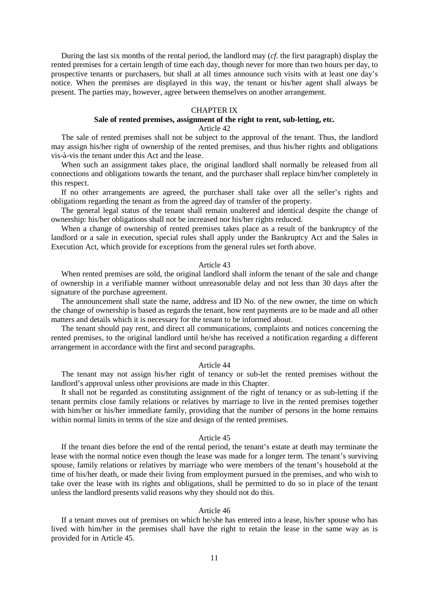During the last six months of the rental period, the landlord may (*cf.* the first paragraph) display the rented premises for a certain length of time each day, though never for more than two hours per day, to prospective tenants or purchasers, but shall at all times announce such visits with at least one day's notice. When the premises are displayed in this way, the tenant or his/her agent shall always be present. The parties may, however, agree between themselves on another arrangement.

#### CHAPTER IX

## **Sale of rented premises, assignment of the right to rent, sub-letting, etc.**

### Article 42

The sale of rented premises shall not be subject to the approval of the tenant. Thus, the landlord may assign his/her right of ownership of the rented premises, and thus his/her rights and obligations vis-à-vis the tenant under this Act and the lease.

When such an assignment takes place, the original landlord shall normally be released from all connections and obligations towards the tenant, and the purchaser shall replace him/her completely in this respect.

If no other arrangements are agreed, the purchaser shall take over all the seller's rights and obligations regarding the tenant as from the agreed day of transfer of the property.

The general legal status of the tenant shall remain unaltered and identical despite the change of ownership: his/her obligations shall not be increased nor his/her rights reduced.

When a change of ownership of rented premises takes place as a result of the bankruptcy of the landlord or a sale in execution, special rules shall apply under the Bankruptcy Act and the Sales in Execution Act, which provide for exceptions from the general rules set forth above.

#### Article 43

When rented premises are sold, the original landlord shall inform the tenant of the sale and change of ownership in a verifiable manner without unreasonable delay and not less than 30 days after the signature of the purchase agreement.

The announcement shall state the name, address and ID No. of the new owner, the time on which the change of ownership is based as regards the tenant, how rent payments are to be made and all other matters and details which it is necessary for the tenant to be informed about.

The tenant should pay rent, and direct all communications, complaints and notices concerning the rented premises, to the original landlord until he/she has received a notification regarding a different arrangement in accordance with the first and second paragraphs.

#### Article 44

The tenant may not assign his/her right of tenancy or sub-let the rented premises without the landlord's approval unless other provisions are made in this Chapter.

It shall not be regarded as constituting assignment of the right of tenancy or as sub-letting if the tenant permits close family relations or relatives by marriage to live in the rented premises together with him/her or his/her immediate family, providing that the number of persons in the home remains within normal limits in terms of the size and design of the rented premises.

#### Article 45

If the tenant dies before the end of the rental period, the tenant's estate at death may terminate the lease with the normal notice even though the lease was made for a longer term. The tenant's surviving spouse, family relations or relatives by marriage who were members of the tenant's household at the time of his/her death, or made their living from employment pursued in the premises, and who wish to take over the lease with its rights and obligations, shall be permitted to do so in place of the tenant unless the landlord presents valid reasons why they should not do this.

#### Article 46

If a tenant moves out of premises on which he/she has entered into a lease, his/her spouse who has lived with him/her in the premises shall have the right to retain the lease in the same way as is provided for in Article 45.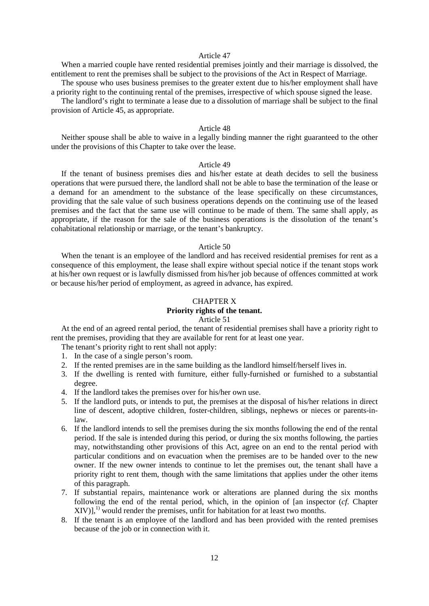#### Article 47

When a married couple have rented residential premises jointly and their marriage is dissolved, the entitlement to rent the premises shall be subject to the provisions of the Act in Respect of Marriage. The spouse who uses business premises to the greater extent due to his/her employment shall have

a priority right to the continuing rental of the premises, irrespective of which spouse signed the lease.

The landlord's right to terminate a lease due to a dissolution of marriage shall be subject to the final provision of Article 45, as appropriate.

#### Article 48

Neither spouse shall be able to waive in a legally binding manner the right guaranteed to the other under the provisions of this Chapter to take over the lease.

#### Article 49

If the tenant of business premises dies and his/her estate at death decides to sell the business operations that were pursued there, the landlord shall not be able to base the termination of the lease or a demand for an amendment to the substance of the lease specifically on these circumstances, providing that the sale value of such business operations depends on the continuing use of the leased premises and the fact that the same use will continue to be made of them. The same shall apply, as appropriate, if the reason for the sale of the business operations is the dissolution of the tenant's cohabitational relationship or marriage, or the tenant's bankruptcy.

#### Article 50

When the tenant is an employee of the landlord and has received residential premises for rent as a consequence of this employment, the lease shall expire without special notice if the tenant stops work at his/her own request or is lawfully dismissed from his/her job because of offences committed at work or because his/her period of employment, as agreed in advance, has expired.

#### CHAPTER X

## **Priority rights of the tenant.**

## Article 51

At the end of an agreed rental period, the tenant of residential premises shall have a priority right to rent the premises, providing that they are available for rent for at least one year.

The tenant's priority right to rent shall not apply:

- 1. In the case of a single person's room.
- 2. If the rented premises are in the same building as the landlord himself/herself lives in.
- 3. If the dwelling is rented with furniture, either fully-furnished or furnished to a substantial degree.
- 4. If the landlord takes the premises over for his/her own use.
- 5. If the landlord puts, or intends to put, the premises at the disposal of his/her relations in direct line of descent, adoptive children, foster-children, siblings, nephews or nieces or parents-inlaw.
- 6. If the landlord intends to sell the premises during the six months following the end of the rental period. If the sale is intended during this period, or during the six months following, the parties may, notwithstanding other provisions of this Act, agree on an end to the rental period with particular conditions and on evacuation when the premises are to be handed over to the new owner. If the new owner intends to continue to let the premises out, the tenant shall have a priority right to rent them, though with the same limitations that applies under the other items of this paragraph.
- 7. If substantial repairs, maintenance work or alterations are planned during the six months following the end of the rental period, which, in the opinion of [an inspector (*cf.* Chapter  $XIV$ ],<sup>1)</sup> would render the premises, unfit for habitation for at least two months.
- 8. If the tenant is an employee of the landlord and has been provided with the rented premises because of the job or in connection with it.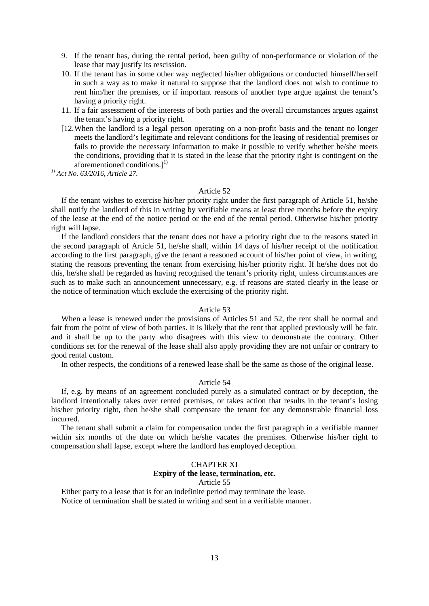9. If the tenant has, during the rental period, been guilty of non-performance or violation of the lease that may justify its rescission.

- 10. If the tenant has in some other way neglected his/her obligations or conducted himself/herself in such a way as to make it natural to suppose that the landlord does not wish to continue to rent him/her the premises, or if important reasons of another type argue against the tenant's having a priority right.
- 11. If a fair assessment of the interests of both parties and the overall circumstances argues against the tenant's having a priority right.
- [12.When the landlord is a legal person operating on a non-profit basis and the tenant no longer meets the landlord's legitimate and relevant conditions for the leasing of residential premises or fails to provide the necessary information to make it possible to verify whether he/she meets the conditions, providing that it is stated in the lease that the priority right is contingent on the aforementioned conditions. $]^{1)}$

*1) Act No. 63/2016, Article 27.*

#### Article 52

If the tenant wishes to exercise his/her priority right under the first paragraph of Article 51, he/she shall notify the landlord of this in writing by verifiable means at least three months before the expiry of the lease at the end of the notice period or the end of the rental period. Otherwise his/her priority right will lapse.

If the landlord considers that the tenant does not have a priority right due to the reasons stated in the second paragraph of Article 51, he/she shall, within 14 days of his/her receipt of the notification according to the first paragraph, give the tenant a reasoned account of his/her point of view, in writing, stating the reasons preventing the tenant from exercising his/her priority right. If he/she does not do this, he/she shall be regarded as having recognised the tenant's priority right, unless circumstances are such as to make such an announcement unnecessary, e.g. if reasons are stated clearly in the lease or the notice of termination which exclude the exercising of the priority right.

#### Article 53

When a lease is renewed under the provisions of Articles 51 and 52, the rent shall be normal and fair from the point of view of both parties. It is likely that the rent that applied previously will be fair, and it shall be up to the party who disagrees with this view to demonstrate the contrary. Other conditions set for the renewal of the lease shall also apply providing they are not unfair or contrary to good rental custom.

In other respects, the conditions of a renewed lease shall be the same as those of the original lease.

#### Article 54

If, e.g. by means of an agreement concluded purely as a simulated contract or by deception, the landlord intentionally takes over rented premises, or takes action that results in the tenant's losing his/her priority right, then he/she shall compensate the tenant for any demonstrable financial loss incurred.

The tenant shall submit a claim for compensation under the first paragraph in a verifiable manner within six months of the date on which he/she vacates the premises. Otherwise his/her right to compensation shall lapse, except where the landlord has employed deception.

#### CHAPTER XI

## **Expiry of the lease, termination, etc.**

#### Article 55

Either party to a lease that is for an indefinite period may terminate the lease. Notice of termination shall be stated in writing and sent in a verifiable manner.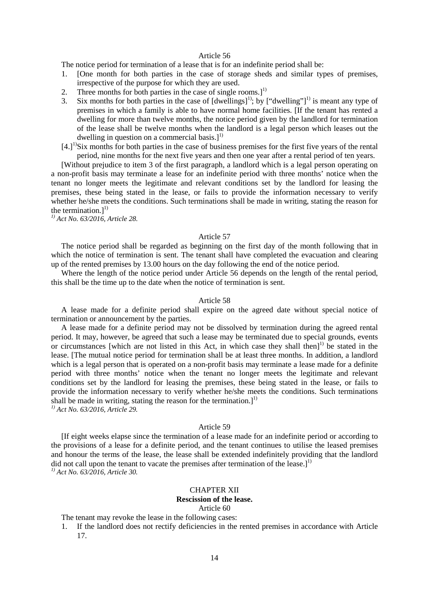#### Article 56

The notice period for termination of a lease that is for an indefinite period shall be:

- 1. [One month for both parties in the case of storage sheds and similar types of premises, irrespective of the purpose for which they are used.
- 2. Three months for both parties in the case of single rooms. $1^{1}$
- 3. Six months for both parties in the case of  $[dwellings]$ <sup>1)</sup>; by ["dwelling"]<sup>1)</sup> is meant any type of premises in which a family is able to have normal home facilities. [If the tenant has rented a dwelling for more than twelve months, the notice period given by the landlord for termination of the lease shall be twelve months when the landlord is a legal person which leases out the dwelling in question on a commercial basis.]<sup>1)</sup>
- $[4.1]$ <sup>1)</sup>Six months for both parties in the case of business premises for the first five years of the rental period, nine months for the next five years and then one year after a rental period of ten years.

[Without prejudice to item 3 of the first paragraph, a landlord which is a legal person operating on a non-profit basis may terminate a lease for an indefinite period with three months' notice when the tenant no longer meets the legitimate and relevant conditions set by the landlord for leasing the premises, these being stated in the lease, or fails to provide the information necessary to verify whether he/she meets the conditions. Such terminations shall be made in writing, stating the reason for the termination. $l^{1}$ 

*1) Act No. 63/2016, Article 28.*

#### Article 57

The notice period shall be regarded as beginning on the first day of the month following that in which the notice of termination is sent. The tenant shall have completed the evacuation and clearing up of the rented premises by 13.00 hours on the day following the end of the notice period.

Where the length of the notice period under Article 56 depends on the length of the rental period, this shall be the time up to the date when the notice of termination is sent.

#### Article 58

A lease made for a definite period shall expire on the agreed date without special notice of termination or announcement by the parties.

A lease made for a definite period may not be dissolved by termination during the agreed rental period. It may, however, be agreed that such a lease may be terminated due to special grounds, events or circumstances [which are not listed in this Act, in which case they shall then] 1) be stated in the lease. [The mutual notice period for termination shall be at least three months. In addition, a landlord which is a legal person that is operated on a non-profit basis may terminate a lease made for a definite period with three months' notice when the tenant no longer meets the legitimate and relevant conditions set by the landlord for leasing the premises, these being stated in the lease, or fails to provide the information necessary to verify whether he/she meets the conditions. Such terminations shall be made in writing, stating the reason for the termination.]<sup>1)</sup>

*1) Act No. 63/2016, Article 29.*

#### Article 59

[If eight weeks elapse since the termination of a lease made for an indefinite period or according to the provisions of a lease for a definite period, and the tenant continues to utilise the leased premises and honour the terms of the lease, the lease shall be extended indefinitely providing that the landlord did not call upon the tenant to vacate the premises after termination of the lease.] $^{1)}$ *1) Act No. 63/2016, Article 30.*

#### CHAPTER XII

## **Rescission of the lease.**

#### Article 60

The tenant may revoke the lease in the following cases:

1. If the landlord does not rectify deficiencies in the rented premises in accordance with Article 17.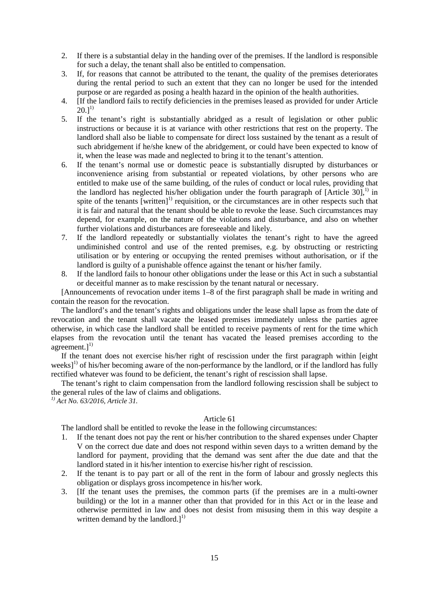- 2. If there is a substantial delay in the handing over of the premises. If the landlord is responsible for such a delay, the tenant shall also be entitled to compensation.
- 3. If, for reasons that cannot be attributed to the tenant, the quality of the premises deteriorates during the rental period to such an extent that they can no longer be used for the intended purpose or are regarded as posing a health hazard in the opinion of the health authorities.
- 4. [If the landlord fails to rectify deficiencies in the premises leased as provided for under Article  $20.1^{1}$
- 5. If the tenant's right is substantially abridged as a result of legislation or other public instructions or because it is at variance with other restrictions that rest on the property. The landlord shall also be liable to compensate for direct loss sustained by the tenant as a result of such abridgement if he/she knew of the abridgement, or could have been expected to know of it, when the lease was made and neglected to bring it to the tenant's attention.
- 6. If the tenant's normal use or domestic peace is substantially disrupted by disturbances or inconvenience arising from substantial or repeated violations, by other persons who are entitled to make use of the same building, of the rules of conduct or local rules, providing that the landlord has neglected his/her obligation under the fourth paragraph of  $[Article 30]$ <sup>1)</sup> in spite of the tenants [written]<sup>1)</sup> requisition, or the circumstances are in other respects such that it is fair and natural that the tenant should be able to revoke the lease. Such circumstances may depend, for example, on the nature of the violations and disturbance, and also on whether further violations and disturbances are foreseeable and likely.
- 7. If the landlord repeatedly or substantially violates the tenant's right to have the agreed undiminished control and use of the rented premises, e.g. by obstructing or restricting utilisation or by entering or occupying the rented premises without authorisation, or if the landlord is guilty of a punishable offence against the tenant or his/her family.
- 8. If the landlord fails to honour other obligations under the lease or this Act in such a substantial or deceitful manner as to make rescission by the tenant natural or necessary.

[Announcements of revocation under items 1–8 of the first paragraph shall be made in writing and contain the reason for the revocation.

The landlord's and the tenant's rights and obligations under the lease shall lapse as from the date of revocation and the tenant shall vacate the leased premises immediately unless the parties agree otherwise, in which case the landlord shall be entitled to receive payments of rent for the time which elapses from the revocation until the tenant has vacated the leased premises according to the agreement.] $^{1)}$ 

If the tenant does not exercise his/her right of rescission under the first paragraph within [eight weeks]<sup>1)</sup> of his/her becoming aware of the non-performance by the landlord, or if the landlord has fully rectified whatever was found to be deficient, the tenant's right of rescission shall lapse.

The tenant's right to claim compensation from the landlord following rescission shall be subject to the general rules of the law of claims and obligations.

*1) Act No. 63/2016, Article 31.*

#### Article 61

The landlord shall be entitled to revoke the lease in the following circumstances:

- 1. If the tenant does not pay the rent or his/her contribution to the shared expenses under Chapter V on the correct due date and does not respond within seven days to a written demand by the landlord for payment, providing that the demand was sent after the due date and that the landlord stated in it his/her intention to exercise his/her right of rescission.
- 2. If the tenant is to pay part or all of the rent in the form of labour and grossly neglects this obligation or displays gross incompetence in his/her work.
- 3. [If the tenant uses the premises, the common parts (if the premises are in a multi-owner building) or the lot in a manner other than that provided for in this Act or in the lease and otherwise permitted in law and does not desist from misusing them in this way despite a written demand by the landlord.]<sup>1)</sup>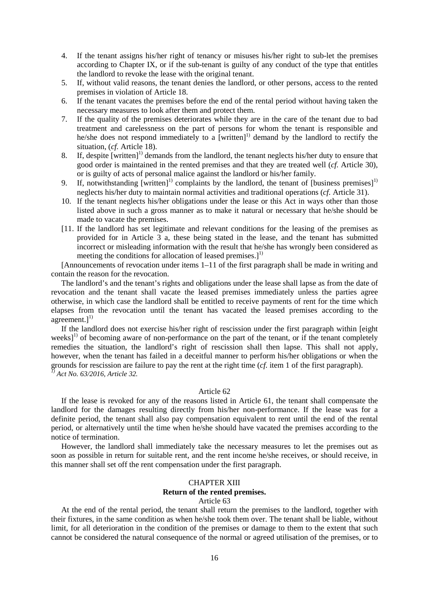- 4. If the tenant assigns his/her right of tenancy or misuses his/her right to sub-let the premises according to Chapter IX, or if the sub-tenant is guilty of any conduct of the type that entitles the landlord to revoke the lease with the original tenant.
- 5. If, without valid reasons, the tenant denies the landlord, or other persons, access to the rented premises in violation of Article 18.
- 6. If the tenant vacates the premises before the end of the rental period without having taken the necessary measures to look after them and protect them.
- 7. If the quality of the premises deteriorates while they are in the care of the tenant due to bad treatment and carelessness on the part of persons for whom the tenant is responsible and he/she does not respond immediately to a [written]<sup>1)</sup> demand by the landlord to rectify the situation, (*cf.* Article 18).
- 8. If, despite  $[written]^1$  demands from the landlord, the tenant neglects his/her duty to ensure that good order is maintained in the rented premises and that they are treated well (*cf.* Article 30), or is guilty of acts of personal malice against the landlord or his/her family.
- 9. If, notwithstanding  $[written]^1$  complaints by the landlord, the tenant of  $[business\ premises]^1$ neglects his/her duty to maintain normal activities and traditional operations (*cf.* Article 31).
- 10. If the tenant neglects his/her obligations under the lease or this Act in ways other than those listed above in such a gross manner as to make it natural or necessary that he/she should be made to vacate the premises.
- [11. If the landlord has set legitimate and relevant conditions for the leasing of the premises as provided for in Article 3 a, these being stated in the lease, and the tenant has submitted incorrect or misleading information with the result that he/she has wrongly been considered as meeting the conditions for allocation of leased premises.]<sup>1)</sup>

[Announcements of revocation under items 1–11 of the first paragraph shall be made in writing and contain the reason for the revocation.

The landlord's and the tenant's rights and obligations under the lease shall lapse as from the date of revocation and the tenant shall vacate the leased premises immediately unless the parties agree otherwise, in which case the landlord shall be entitled to receive payments of rent for the time which elapses from the revocation until the tenant has vacated the leased premises according to the agreement. $]^{1)}$ 

If the landlord does not exercise his/her right of rescission under the first paragraph within [eight weeks $1^{(1)}$  of becoming aware of non-performance on the part of the tenant, or if the tenant completely remedies the situation, the landlord's right of rescission shall then lapse. This shall not apply, however, when the tenant has failed in a deceitful manner to perform his/her obligations or when the grounds for rescission are failure to pay the rent at the right time (*cf.* item 1 of the first paragraph). *1) Act No. 63/2016, Article 32.*

#### Article 62

If the lease is revoked for any of the reasons listed in Article 61, the tenant shall compensate the landlord for the damages resulting directly from his/her non-performance. If the lease was for a definite period, the tenant shall also pay compensation equivalent to rent until the end of the rental period, or alternatively until the time when he/she should have vacated the premises according to the notice of termination.

However, the landlord shall immediately take the necessary measures to let the premises out as soon as possible in return for suitable rent, and the rent income he/she receives, or should receive, in this manner shall set off the rent compensation under the first paragraph.

#### CHAPTER XIII **Return of the rented premises.** Article 63

At the end of the rental period, the tenant shall return the premises to the landlord, together with their fixtures, in the same condition as when he/she took them over. The tenant shall be liable, without limit, for all deterioration in the condition of the premises or damage to them to the extent that such cannot be considered the natural consequence of the normal or agreed utilisation of the premises, or to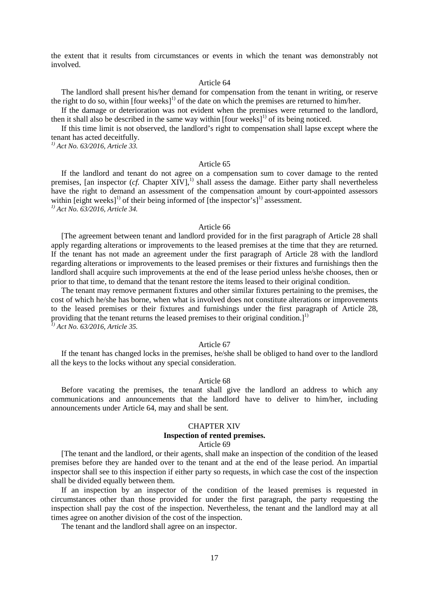the extent that it results from circumstances or events in which the tenant was demonstrably not involved.

#### Article 64

The landlord shall present his/her demand for compensation from the tenant in writing, or reserve the right to do so, within  $[four weeks]<sup>1</sup>$  of the date on which the premises are returned to him/her.

If the damage or deterioration was not evident when the premises were returned to the landlord, then it shall also be described in the same way within  $[four weeks]$ <sup>1)</sup> of its being noticed.

If this time limit is not observed, the landlord's right to compensation shall lapse except where the tenant has acted deceitfully.

*1) Act No. 63/2016, Article 33.*

#### Article 65

If the landlord and tenant do not agree on a compensation sum to cover damage to the rented premises, [an inspector (*cf.* Chapter XIV],<sup>1)</sup> shall assess the damage. Either party shall nevertheless have the right to demand an assessment of the compensation amount by court-appointed assessors within [eight weeks]<sup>1)</sup> of their being informed of [the inspector's]<sup>1)</sup> assessment. *1) Act No. 63/2016, Article 34.*

#### Article 66

[The agreement between tenant and landlord provided for in the first paragraph of Article 28 shall apply regarding alterations or improvements to the leased premises at the time that they are returned. If the tenant has not made an agreement under the first paragraph of Article 28 with the landlord regarding alterations or improvements to the leased premises or their fixtures and furnishings then the landlord shall acquire such improvements at the end of the lease period unless he/she chooses, then or prior to that time, to demand that the tenant restore the items leased to their original condition.

The tenant may remove permanent fixtures and other similar fixtures pertaining to the premises, the cost of which he/she has borne, when what is involved does not constitute alterations or improvements to the leased premises or their fixtures and furnishings under the first paragraph of Article 28, providing that the tenant returns the leased premises to their original condition.]<sup>1)</sup> *1) Act No. 63/2016, Article 35.*

#### Article 67

If the tenant has changed locks in the premises, he/she shall be obliged to hand over to the landlord all the keys to the locks without any special consideration.

#### Article 68

Before vacating the premises, the tenant shall give the landlord an address to which any communications and announcements that the landlord have to deliver to him/her, including announcements under Article 64, may and shall be sent.

#### CHAPTER XIV

#### **Inspection of rented premises.**

#### Article 69

[The tenant and the landlord, or their agents, shall make an inspection of the condition of the leased premises before they are handed over to the tenant and at the end of the lease period. An impartial inspector shall see to this inspection if either party so requests, in which case the cost of the inspection shall be divided equally between them.

If an inspection by an inspector of the condition of the leased premises is requested in circumstances other than those provided for under the first paragraph, the party requesting the inspection shall pay the cost of the inspection. Nevertheless, the tenant and the landlord may at all times agree on another division of the cost of the inspection.

The tenant and the landlord shall agree on an inspector.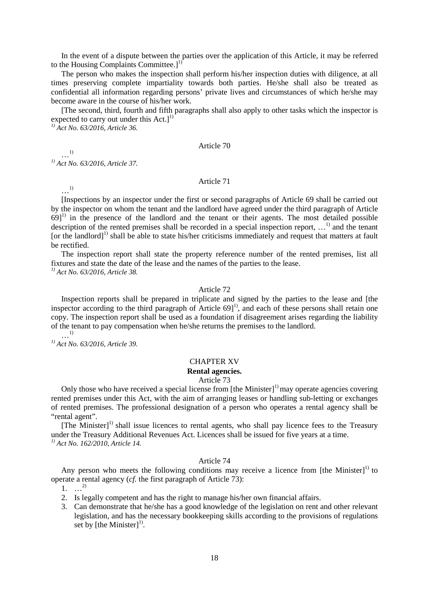In the event of a dispute between the parties over the application of this Article, it may be referred to the Housing Complaints Committee.]<sup>1</sup>

The person who makes the inspection shall perform his/her inspection duties with diligence, at all times preserving complete impartiality towards both parties. He/she shall also be treated as confidential all information regarding persons' private lives and circumstances of which he/she may become aware in the course of his/her work.

[The second, third, fourth and fifth paragraphs shall also apply to other tasks which the inspector is expected to carry out under this  $Act.]<sup>1</sup>$ 

*1) Act No. 63/2016, Article 36.*

#### Article 70

…1) *1) Act No. 63/2016, Article 37.*

…1)

Article 71

[Inspections by an inspector under the first or second paragraphs of Article 69 shall be carried out by the inspector on whom the tenant and the landlord have agreed under the third paragraph of Article  $69$ ]<sup>1)</sup> in the presence of the landlord and the tenant or their agents. The most detailed possible description of the rented premises shall be recorded in a special inspection report,  $\ldots$ <sup>1)</sup> and the tenant [or the landlord]<sup>1)</sup> shall be able to state his/her criticisms immediately and request that matters at fault be rectified.

The inspection report shall state the property reference number of the rented premises, list all fixtures and state the date of the lease and the names of the parties to the lease.

*1) Act No. 63/2016, Article 38.*

#### Article 72

Inspection reports shall be prepared in triplicate and signed by the parties to the lease and [the inspector according to the third paragraph of Article  $69$ <sup> $1$ </sup>, and each of these persons shall retain one copy. The inspection report shall be used as a foundation if disagreement arises regarding the liability of the tenant to pay compensation when he/she returns the premises to the landlord. …1)

*1) Act No. 63/2016, Article 39.*

## CHAPTER XV **Rental agencies.**

Article 73

Only those who have received a special license from  $[the$  Minister $]$ <sup>1)</sup> may operate agencies covering rented premises under this Act, with the aim of arranging leases or handling sub-letting or exchanges of rented premises. The professional designation of a person who operates a rental agency shall be "rental agent".

 $[The <sup>1</sup>]$  shall issue licences to rental agents, who shall pay licence fees to the Treasury under the Treasury Additional Revenues Act. Licences shall be issued for five years at a time. *1) Act No. 162/2010, Article 14.* 

#### Article 74

Any person who meets the following conditions may receive a licence from [the Minister]<sup>1)</sup> to operate a rental agency (*cf.* the first paragraph of Article 73):

 $1. \dots^{2}$ 

- 2. Is legally competent and has the right to manage his/her own financial affairs.
- 3. Can demonstrate that he/she has a good knowledge of the legislation on rent and other relevant legislation, and has the necessary bookkeeping skills according to the provisions of regulations set by [the Minister]<sup>1)</sup>.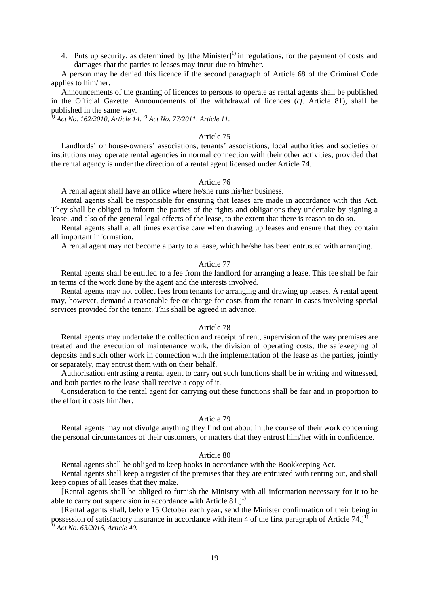4. Puts up security, as determined by  $[the$  Minister $]$ <sup>1)</sup> in regulations, for the payment of costs and damages that the parties to leases may incur due to him/her.

A person may be denied this licence if the second paragraph of Article 68 of the Criminal Code applies to him/her.

Announcements of the granting of licences to persons to operate as rental agents shall be published in the Official Gazette. Announcements of the withdrawal of licences (*cf.* Article 81), shall be published in the same way.

*1) Act No. 162/2010, Article 14. 2) Act No. 77/2011, Article 11.* 

#### Article 75

Landlords' or house-owners' associations, tenants' associations, local authorities and societies or institutions may operate rental agencies in normal connection with their other activities, provided that the rental agency is under the direction of a rental agent licensed under Article 74.

#### Article 76

A rental agent shall have an office where he/she runs his/her business.

Rental agents shall be responsible for ensuring that leases are made in accordance with this Act. They shall be obliged to inform the parties of the rights and obligations they undertake by signing a lease, and also of the general legal effects of the lease, to the extent that there is reason to do so.

Rental agents shall at all times exercise care when drawing up leases and ensure that they contain all important information.

A rental agent may not become a party to a lease, which he/she has been entrusted with arranging.

#### Article 77

Rental agents shall be entitled to a fee from the landlord for arranging a lease. This fee shall be fair in terms of the work done by the agent and the interests involved.

Rental agents may not collect fees from tenants for arranging and drawing up leases. A rental agent may, however, demand a reasonable fee or charge for costs from the tenant in cases involving special services provided for the tenant. This shall be agreed in advance.

#### Article 78

Rental agents may undertake the collection and receipt of rent, supervision of the way premises are treated and the execution of maintenance work, the division of operating costs, the safekeeping of deposits and such other work in connection with the implementation of the lease as the parties, jointly or separately, may entrust them with on their behalf.

Authorisation entrusting a rental agent to carry out such functions shall be in writing and witnessed, and both parties to the lease shall receive a copy of it.

Consideration to the rental agent for carrying out these functions shall be fair and in proportion to the effort it costs him/her.

#### Article 79

Rental agents may not divulge anything they find out about in the course of their work concerning the personal circumstances of their customers, or matters that they entrust him/her with in confidence.

### Article 80

Rental agents shall be obliged to keep books in accordance with the Bookkeeping Act.

Rental agents shall keep a register of the premises that they are entrusted with renting out, and shall keep copies of all leases that they make.

[Rental agents shall be obliged to furnish the Ministry with all information necessary for it to be able to carry out supervision in accordance with Article  $81.]^{1}$ 

[Rental agents shall, before 15 October each year, send the Minister confirmation of their being in possession of satisfactory insurance in accordance with item 4 of the first paragraph of Article 74.]<sup>1)</sup> *1) Act No. 63/2016, Article 40.*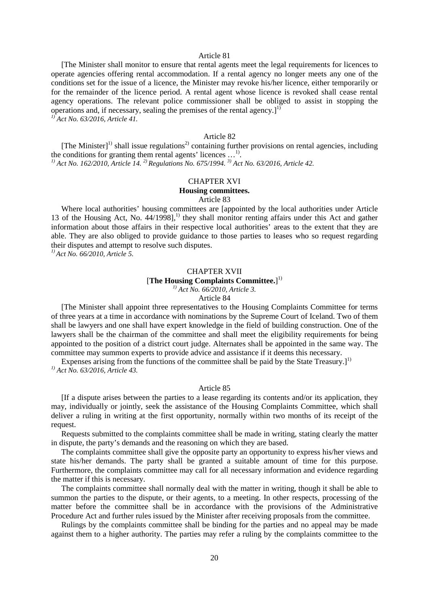#### Article 81

[The Minister shall monitor to ensure that rental agents meet the legal requirements for licences to operate agencies offering rental accommodation. If a rental agency no longer meets any one of the conditions set for the issue of a licence, the Minister may revoke his/her licence, either temporarily or for the remainder of the licence period. A rental agent whose licence is revoked shall cease rental agency operations. The relevant police commissioner shall be obliged to assist in stopping the operations and, if necessary, sealing the premises of the rental agency. $]^{1}$ *1) Act No. 63/2016, Article 41.*

Article 82

[The Minister]<sup>1)</sup> shall issue regulations<sup>2)</sup> containing further provisions on rental agencies, including the conditions for granting them rental agents' licences ...<sup>1)</sup>. <sup>1)</sup> *Act No. 162/2010, Article 14, <sup>2)</sup> Regulations No. 675/1994. <sup>3)</sup> <i>Act No. 63/2016, Article 42.* 

#### CHAPTER XVI

#### **Housing committees.**

Article 83

Where local authorities' housing committees are [appointed by the local authorities under Article 13 of the Housing Act, No. 44/1998],<sup>1)</sup> they shall monitor renting affairs under this Act and gather information about those affairs in their respective local authorities' areas to the extent that they are able. They are also obliged to provide guidance to those parties to leases who so request regarding their disputes and attempt to resolve such disputes.

*1) Act No. 66/2010, Article 5.*

# CHAPTER XVII

[**The Housing Complaints Committee.**] 1)

*1) Act No. 66/2010, Article 3.*

Article 84

[The Minister shall appoint three representatives to the Housing Complaints Committee for terms of three years at a time in accordance with nominations by the Supreme Court of Iceland. Two of them shall be lawyers and one shall have expert knowledge in the field of building construction. One of the lawyers shall be the chairman of the committee and shall meet the eligibility requirements for being appointed to the position of a district court judge. Alternates shall be appointed in the same way. The committee may summon experts to provide advice and assistance if it deems this necessary.

Expenses arising from the functions of the committee shall be paid by the State Treasury.]<sup>1)</sup> *1) Act No. 63/2016, Article 43.*

#### Article 85

[If a dispute arises between the parties to a lease regarding its contents and/or its application, they may, individually or jointly, seek the assistance of the Housing Complaints Committee, which shall deliver a ruling in writing at the first opportunity, normally within two months of its receipt of the request.

Requests submitted to the complaints committee shall be made in writing, stating clearly the matter in dispute, the party's demands and the reasoning on which they are based.

The complaints committee shall give the opposite party an opportunity to express his/her views and state his/her demands. The party shall be granted a suitable amount of time for this purpose. Furthermore, the complaints committee may call for all necessary information and evidence regarding the matter if this is necessary.

The complaints committee shall normally deal with the matter in writing, though it shall be able to summon the parties to the dispute, or their agents, to a meeting. In other respects, processing of the matter before the committee shall be in accordance with the provisions of the Administrative Procedure Act and further rules issued by the Minister after receiving proposals from the committee.

Rulings by the complaints committee shall be binding for the parties and no appeal may be made against them to a higher authority. The parties may refer a ruling by the complaints committee to the